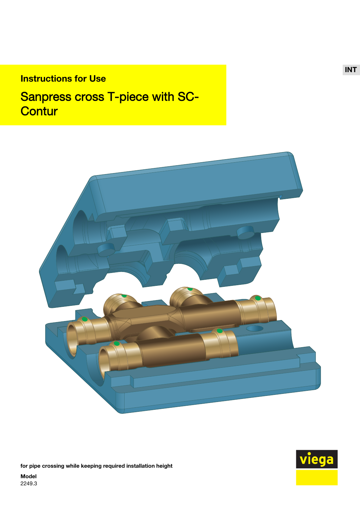# Instructions for Use

# Sanpress cross T-piece with SC-**Contur**



for pipe crossing while keeping required installation height



INT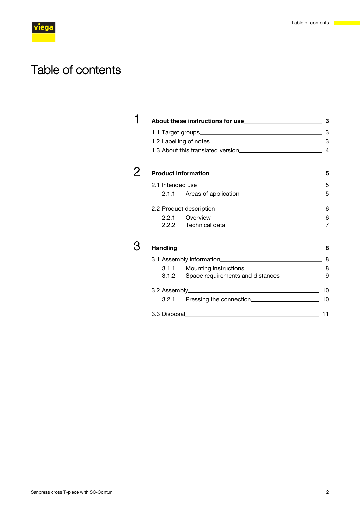# Table of contents

|  | 1.1 Target groups 3        |                                  |  |
|--|----------------------------|----------------------------------|--|
|  |                            |                                  |  |
|  |                            |                                  |  |
|  |                            |                                  |  |
|  |                            |                                  |  |
|  |                            |                                  |  |
|  | 2.1.1                      | Areas of application 5           |  |
|  | 2.2 Product description. 6 |                                  |  |
|  | 2.2.1                      |                                  |  |
|  |                            | 2.2.2 Technical data             |  |
|  |                            | Handling 8                       |  |
|  |                            |                                  |  |
|  | 3.1.1                      |                                  |  |
|  | 3.1.2                      | Space requirements and distances |  |
|  |                            |                                  |  |
|  | 3.2.1                      |                                  |  |
|  |                            |                                  |  |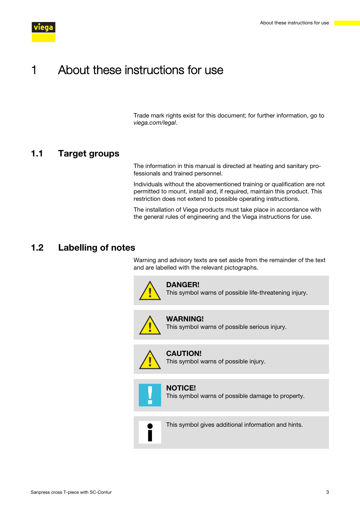<span id="page-2-0"></span>

# 1 About these instructions for use

Trade mark rights exist for this document; for further information, go to *[viega.com/legal](https://www.viega.com/legal)*.

#### 1.1 Target groups

The information in this manual is directed at heating and sanitary pro‐ fessionals and trained personnel.

Individuals without the abovementioned training or qualification are not permitted to mount, install and, if required, maintain this product. This restriction does not extend to possible operating instructions.

The installation of Viega products must take place in accordance with the general rules of engineering and the Viega instructions for use.

## 1.2 Labelling of notes

Warning and advisory texts are set aside from the remainder of the text and are labelled with the relevant pictographs.



#### DANGER!

This symbol warns of possible life-threatening injury.



#### WARNING!

This symbol warns of possible serious injury.



CAUTION! This symbol warns of possible injury.



NOTICE! This symbol warns of possible damage to property.



This symbol gives additional information and hints.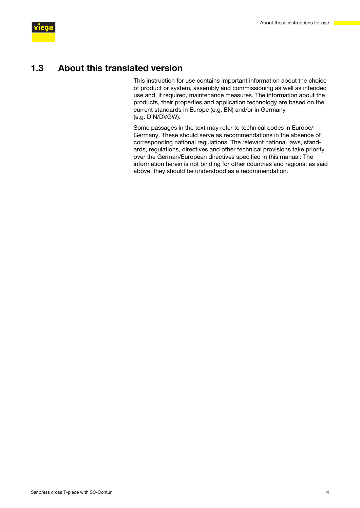<span id="page-3-0"></span>

#### 1.3 About this translated version

This instruction for use contains important information about the choice of product or system, assembly and commissioning as well as intended use and, if required, maintenance measures. The information about the products, their properties and application technology are based on the current standards in Europe (e.g. EN) and/or in Germany (e.g. DIN/DVGW).

Some passages in the text may refer to technical codes in Europe/ Germany. These should serve as recommendations in the absence of corresponding national regulations. The relevant national laws, stand‐ ards, regulations, directives and other technical provisions take priority over the German/European directives specified in this manual: The information herein is not binding for other countries and regions; as said above, they should be understood as a recommendation.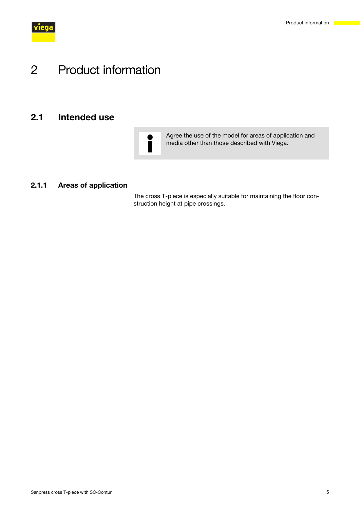<span id="page-4-0"></span>

# 2 Product information

## 2.1 Intended use



Agree the use of the model for areas of application and media other than those described with Viega.

#### 2.1.1 Areas of application

The cross T-piece is especially suitable for maintaining the floor con‐ struction height at pipe crossings.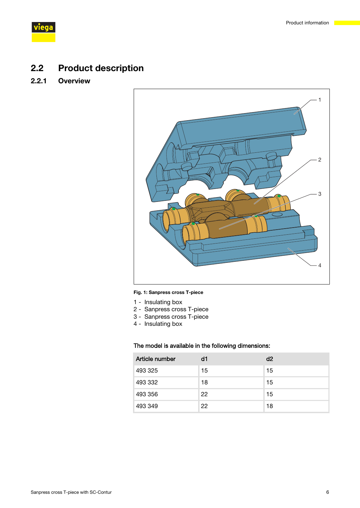<span id="page-5-0"></span>

## 2.2 Product description

#### 2.2.1 Overview



#### Fig. 1: Sanpress cross T-piece

- 1 Insulating box
- 2 Sanpress cross T-piece
- 3 Sanpress cross T-piece
- 4 Insulating box

#### The model is available in the following dimensions:

| Article number | d1 | d2 |
|----------------|----|----|
| 493 325        | 15 | 15 |
| 493 332        | 18 | 15 |
| 493 356        | 22 | 15 |
| 493 349        | 22 | 18 |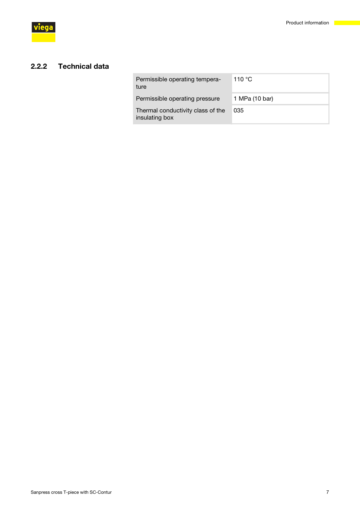#### <span id="page-6-0"></span>2.2.2 Technical data

| 1 MPa (10 bar)<br>Permissible operating pressure<br>Thermal conductivity class of the<br>035 | Permissible operating tempera-<br>ture | 110 $\,^{\circ}$ C |
|----------------------------------------------------------------------------------------------|----------------------------------------|--------------------|
|                                                                                              |                                        |                    |
|                                                                                              | insulating box                         |                    |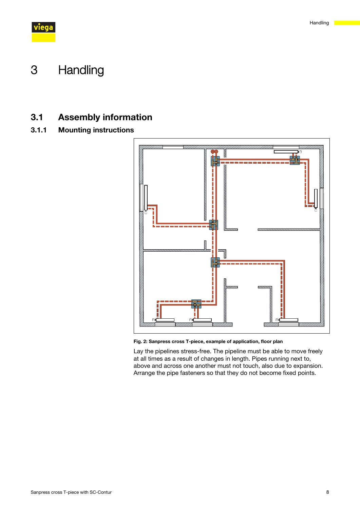<span id="page-7-0"></span>

# 3 Handling

## 3.1 Assembly information

## 3.1.1 Mounting instructions



Fig. 2: Sanpress cross T-piece, example of application, floor plan

Lay the pipelines stress-free. The pipeline must be able to move freely at all times as a result of changes in length. Pipes running next to, above and across one another must not touch, also due to expansion. Arrange the pipe fasteners so that they do not become fixed points.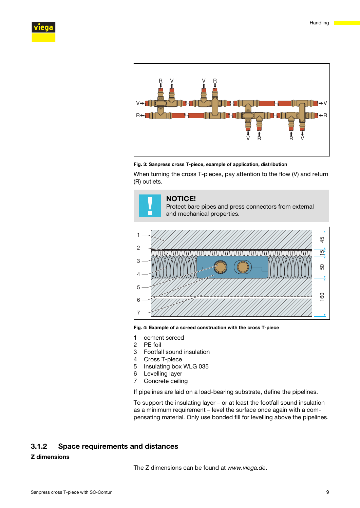<span id="page-8-0"></span>



Fig. 3: Sanpress cross T-piece, example of application, distribution

When turning the cross T-pieces, pay attention to the flow (V) and return (R) outlets.





Fig. 4: Example of a screed construction with the cross T-piece

- 1 cement screed
- 2 PE foil
- 3 Footfall sound insulation
- 4 Cross T-piece
- 5 Insulating box WLG 035
- 6 Levelling layer
- 7 Concrete ceiling

If pipelines are laid on a load-bearing substrate, define the pipelines.

To support the insulating layer – or at least the footfall sound insulation as a minimum requirement – level the surface once again with a com‐ pensating material. Only use bonded fill for levelling above the pipelines.

#### 3.1.2 Space requirements and distances

#### Z dimensions

The Z dimensions can be found at *www.viega.de*.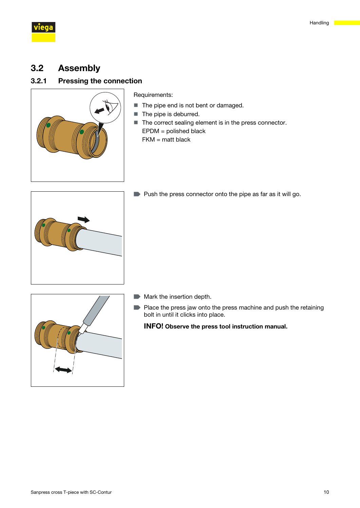<span id="page-9-0"></span>

## 3.2 Assembly

#### 3.2.1 Pressing the connection



Requirements:

- $\blacksquare$  The pipe end is not bent or damaged.
- $\blacksquare$  The pipe is deburred.
- $\blacksquare$  The correct sealing element is in the press connector. EPDM = polished black FKM = matt black



■ Push the press connector onto the pipe as far as it will go.



- $\blacksquare$  Mark the insertion depth.
- $\blacksquare$  Place the press jaw onto the press machine and push the retaining bolt in until it clicks into place.

INFO! Observe the press tool instruction manual.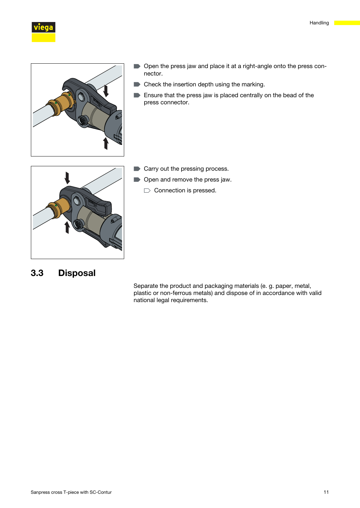

<span id="page-10-0"></span>



- Open the press jaw and place it at a right-angle onto the press connector.
- Check the insertion depth using the marking.
- Ensure that the press jaw is placed centrally on the bead of the press connector.



- Carry out the pressing process.
- Open and remove the press jaw.
	- $\Box$  Connection is pressed.

## 3.3 Disposal

Separate the product and packaging materials (e. g. paper, metal, plastic or non-ferrous metals) and dispose of in accordance with valid national legal requirements.